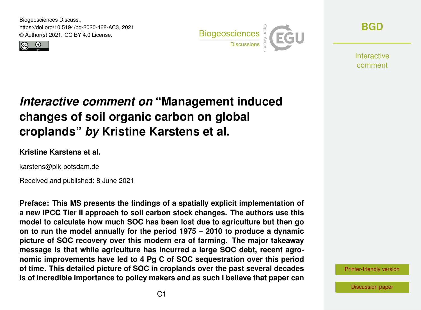Biogeosciences Discuss., https://doi.org/10.5194/bg-2020-468-AC3, 2021 © Author(s) 2021. CC BY 4.0 License.





**[BGD](https://bg.copernicus.org/preprints/)**

**Interactive** comment

# *Interactive comment on* **"Management induced changes of soil organic carbon on global croplands"** *by* **Kristine Karstens et al.**

### **Kristine Karstens et al.**

karstens@pik-potsdam.de

Received and published: 8 June 2021

**Preface: This MS presents the findings of a spatially explicit implementation of a new IPCC Tier II approach to soil carbon stock changes. The authors use this model to calculate how much SOC has been lost due to agriculture but then go on to run the model annually for the period 1975 – 2010 to produce a dynamic picture of SOC recovery over this modern era of farming. The major takeaway message is that while agriculture has incurred a large SOC debt, recent agronomic improvements have led to 4 Pg C of SOC sequestration over this period of time. This detailed picture of SOC in croplands over the past several decades is of incredible importance to policy makers and as such I believe that paper can**

[Printer-friendly version](https://bg.copernicus.org/preprints/bg-2020-468/bg-2020-468-AC3-print.pdf)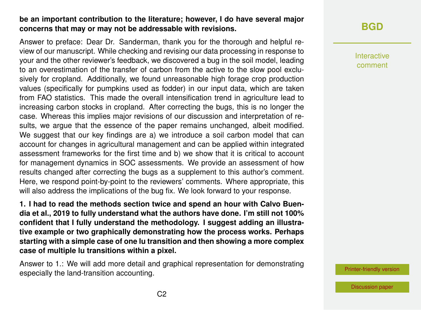### **be an important contribution to the literature; however, I do have several major concerns that may or may not be addressable with revisions.**

Answer to preface: Dear Dr. Sanderman, thank you for the thorough and helpful review of our manuscript. While checking and revising our data processing in response to your and the other reviewer's feedback, we discovered a bug in the soil model, leading to an overestimation of the transfer of carbon from the active to the slow pool exclusively for cropland. Additionally, we found unreasonable high forage crop production values (specifically for pumpkins used as fodder) in our input data, which are taken from FAO statistics. This made the overall intensification trend in agriculture lead to increasing carbon stocks in cropland. After correcting the bugs, this is no longer the case. Whereas this implies major revisions of our discussion and interpretation of results, we argue that the essence of the paper remains unchanged, albeit modified. We suggest that our key findings are a) we introduce a soil carbon model that can account for changes in agricultural management and can be applied within integrated assessment frameworks for the first time and b) we show that it is critical to account for management dynamics in SOC assessments. We provide an assessment of how results changed after correcting the bugs as a supplement to this author's comment. Here, we respond point-by-point to the reviewers' comments. Where appropriate, this will also address the implications of the bug fix. We look forward to your response.

**1. I had to read the methods section twice and spend an hour with Calvo Buendia et al., 2019 to fully understand what the authors have done. I'm still not 100% confident that I fully understand the methodology. I suggest adding an illustrative example or two graphically demonstrating how the process works. Perhaps starting with a simple case of one lu transition and then showing a more complex case of multiple lu transitions within a pixel.**

Answer to 1.: We will add more detail and graphical representation for demonstrating especially the land-transition accounting.

# **[BGD](https://bg.copernicus.org/preprints/)**

Interactive comment

[Printer-friendly version](https://bg.copernicus.org/preprints/bg-2020-468/bg-2020-468-AC3-print.pdf)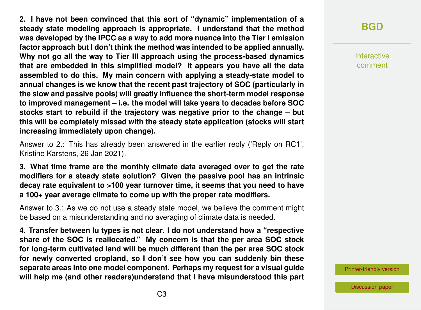**2. I have not been convinced that this sort of "dynamic" implementation of a steady state modeling approach is appropriate. I understand that the method was developed by the IPCC as a way to add more nuance into the Tier I emission factor approach but I don't think the method was intended to be applied annually. Why not go all the way to Tier III approach using the process-based dynamics that are embedded in this simplified model? It appears you have all the data assembled to do this. My main concern with applying a steady-state model to annual changes is we know that the recent past trajectory of SOC (particularly in the slow and passive pools) will greatly influence the short-term model response to improved management – i.e. the model will take years to decades before SOC stocks start to rebuild if the trajectory was negative prior to the change – but this will be completely missed with the steady state application (stocks will start increasing immediately upon change).**

Answer to 2.: This has already been answered in the earlier reply ('Reply on RC1', Kristine Karstens, 26 Jan 2021).

**3. What time frame are the monthly climate data averaged over to get the rate modifiers for a steady state solution? Given the passive pool has an intrinsic decay rate equivalent to >100 year turnover time, it seems that you need to have a 100+ year average climate to come up with the proper rate modifiers.**

Answer to 3.: As we do not use a steady state model, we believe the comment might be based on a misunderstanding and no averaging of climate data is needed.

**4. Transfer between lu types is not clear. I do not understand how a "respective share of the SOC is reallocated." My concern is that the per area SOC stock for long-term cultivated land will be much different than the per area SOC stock for newly converted cropland, so I don't see how you can suddenly bin these separate areas into one model component. Perhaps my request for a visual guide will help me (and other readers)understand that I have misunderstood this part**

# **[BGD](https://bg.copernicus.org/preprints/)**

Interactive comment

[Printer-friendly version](https://bg.copernicus.org/preprints/bg-2020-468/bg-2020-468-AC3-print.pdf)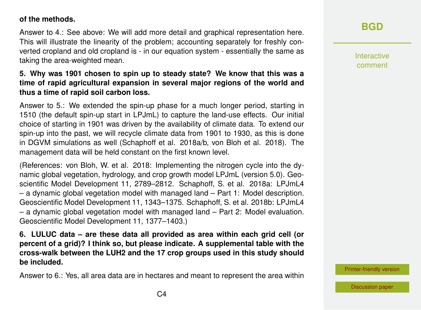#### **of the methods.**

Answer to 4.: See above: We will add more detail and graphical representation here. This will illustrate the linearity of the problem; accounting separately for freshly converted cropland and old cropland is - in our equation system - essentially the same as taking the area-weighted mean.

### **5. Why was 1901 chosen to spin up to steady state? We know that this was a time of rapid agricultural expansion in several major regions of the world and thus a time of rapid soil carbon loss.**

Answer to 5.: We extended the spin-up phase for a much longer period, starting in 1510 (the default spin-up start in LPJmL) to capture the land-use effects. Our initial choice of starting in 1901 was driven by the availability of climate data. To extend our spin-up into the past, we will recycle climate data from 1901 to 1930, as this is done in DGVM simulations as well (Schaphoff et al. 2018a/b, von Bloh et al. 2018). The management data will be held constant on the first known level.

(References: von Bloh, W. et al. 2018: Implementing the nitrogen cycle into the dynamic global vegetation, hydrology, and crop growth model LPJmL (version 5.0). Geoscientific Model Development 11, 2789–2812. Schaphoff, S. et al. 2018a: LPJmL4 – a dynamic global vegetation model with managed land – Part 1: Model description. Geoscientific Model Development 11, 1343–1375. Schaphoff, S. et al. 2018b: LPJmL4 – a dynamic global vegetation model with managed land – Part 2: Model evaluation. Geoscientific Model Development 11, 1377–1403.)

**6. LULUC data – are these data all provided as area within each grid cell (or percent of a grid)? I think so, but please indicate. A supplemental table with the cross-walk between the LUH2 and the 17 crop groups used in this study should be included.**

Answer to 6.: Yes, all area data are in hectares and meant to represent the area within

# **[BGD](https://bg.copernicus.org/preprints/)**

Interactive comment

[Printer-friendly version](https://bg.copernicus.org/preprints/bg-2020-468/bg-2020-468-AC3-print.pdf)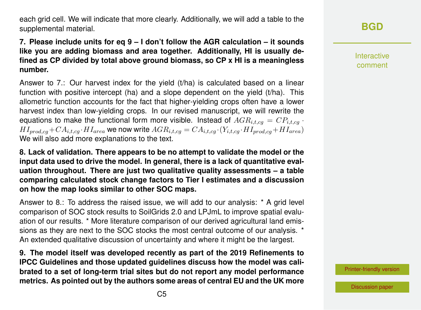each grid cell. We will indicate that more clearly. Additionally, we will add a table to the supplemental material.

### **7. Please include units for eq 9 – I don't follow the AGR calculation – it sounds like you are adding biomass and area together. Additionally, HI is usually defined as CP divided by total above ground biomass, so CP x HI is a meaningless number.**

Answer to 7.: Our harvest index for the yield (t/ha) is calculated based on a linear function with positive intercept (ha) and a slope dependent on the yield  $(t/ha)$ . This allometric function accounts for the fact that higher-yielding crops often have a lower harvest index than low-yielding crops. In our revised manuscript, we will rewrite the equations to make the functional form more visible. Instead of  $AGR_{i,t,cg} = CP_{i,t,cg}$ .  $HI_{prod,ca} + CA_{i,t,ca} \cdot HI_{area}$  we now write  $AGR_{i,t,cg} = CA_{i,t,cg} \cdot (Y_{i,t,cg} \cdot HI_{prod,cg} + HI_{area})$ We will also add more explanations to the text.

**8. Lack of validation. There appears to be no attempt to validate the model or the input data used to drive the model. In general, there is a lack of quantitative evaluation throughout. There are just two qualitative quality assessments – a table comparing calculated stock change factors to Tier I estimates and a discussion on how the map looks similar to other SOC maps.**

Answer to 8.: To address the raised issue, we will add to our analysis: \* A grid level comparison of SOC stock results to SoilGrids 2.0 and LPJmL to improve spatial evaluation of our results. \* More literature comparison of our derived agricultural land emissions as they are next to the SOC stocks the most central outcome of our analysis. \* An extended qualitative discussion of uncertainty and where it might be the largest.

**9. The model itself was developed recently as part of the 2019 Refinements to IPCC Guidelines and those updated guidelines discuss how the model was calibrated to a set of long-term trial sites but do not report any model performance metrics. As pointed out by the authors some areas of central EU and the UK more** **[BGD](https://bg.copernicus.org/preprints/)**

Interactive comment

[Printer-friendly version](https://bg.copernicus.org/preprints/bg-2020-468/bg-2020-468-AC3-print.pdf)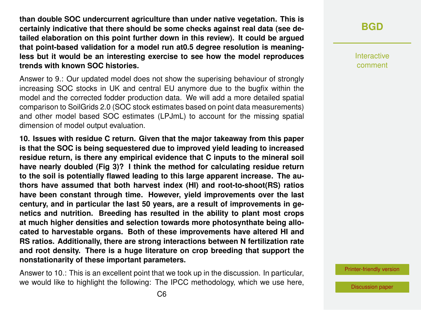**than double SOC undercurrent agriculture than under native vegetation. This is certainly indicative that there should be some checks against real data (see detailed elaboration on this point further down in this review). It could be argued that point-based validation for a model run at0.5 degree resolution is meaningless but it would be an interesting exercise to see how the model reproduces trends with known SOC histories.**

Answer to 9.: Our updated model does not show the superising behaviour of strongly increasing SOC stocks in UK and central EU anymore due to the bugfix within the model and the corrected fodder production data. We will add a more detailed spatial comparison to SoilGrids 2.0 (SOC stock estimates based on point data measurements) and other model based SOC estimates (LPJmL) to account for the missing spatial dimension of model output evaluation.

**10. Issues with residue C return. Given that the major takeaway from this paper is that the SOC is being sequestered due to improved yield leading to increased residue return, is there any empirical evidence that C inputs to the mineral soil have nearly doubled (Fig 3)? I think the method for calculating residue return to the soil is potentially flawed leading to this large apparent increase. The authors have assumed that both harvest index (HI) and root-to-shoot(RS) ratios have been constant through time. However, yield improvements over the last century, and in particular the last 50 years, are a result of improvements in genetics and nutrition. Breeding has resulted in the ability to plant most crops at much higher densities and selection towards more photosynthate being allocated to harvestable organs. Both of these improvements have altered HI and RS ratios. Additionally, there are strong interactions between N fertilization rate and root density. There is a huge literature on crop breeding that support the nonstationarity of these important parameters.**

Answer to 10.: This is an excellent point that we took up in the discussion. In particular, we would like to highlight the following: The IPCC methodology, which we use here, Interactive comment

[Printer-friendly version](https://bg.copernicus.org/preprints/bg-2020-468/bg-2020-468-AC3-print.pdf)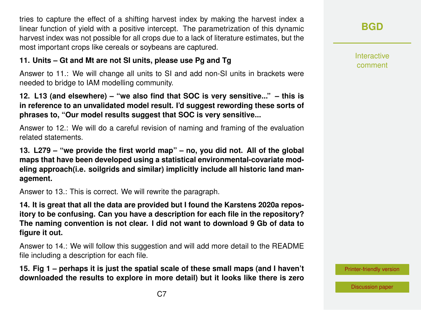tries to capture the effect of a shifting harvest index by making the harvest index a linear function of yield with a positive intercept. The parametrization of this dynamic harvest index was not possible for all crops due to a lack of literature estimates, but the most important crops like cereals or soybeans are captured.

### **11. Units – Gt and Mt are not SI units, please use Pg and Tg**

Answer to 11.: We will change all units to SI and add non-SI units in brackets were needed to bridge to IAM modelling community.

### **12. L13 (and elsewhere) – "we also find that SOC is very sensitive..." – this is in reference to an unvalidated model result. I'd suggest rewording these sorts of phrases to, "Our model results suggest that SOC is very sensitive...**

Answer to 12.: We will do a careful revision of naming and framing of the evaluation related statements.

**13. L279 – "we provide the first world map" – no, you did not. All of the global maps that have been developed using a statistical environmental-covariate modeling approach(i.e. soilgrids and similar) implicitly include all historic land management.**

Answer to 13.: This is correct. We will rewrite the paragraph.

**14. It is great that all the data are provided but I found the Karstens 2020a repository to be confusing. Can you have a description for each file in the repository? The naming convention is not clear. I did not want to download 9 Gb of data to figure it out.**

Answer to 14.: We will follow this suggestion and will add more detail to the README file including a description for each file.

**15. Fig 1 – perhaps it is just the spatial scale of these small maps (and I haven't downloaded the results to explore in more detail) but it looks like there is zero**

Interactive comment

[Printer-friendly version](https://bg.copernicus.org/preprints/bg-2020-468/bg-2020-468-AC3-print.pdf)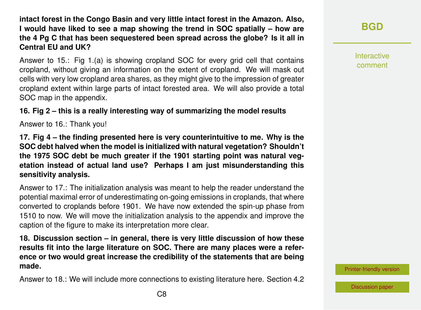**intact forest in the Congo Basin and very little intact forest in the Amazon. Also, I would have liked to see a map showing the trend in SOC spatially – how are the 4 Pg C that has been sequestered been spread across the globe? Is it all in Central EU and UK?**

Answer to 15.: Fig 1.(a) is showing cropland SOC for every grid cell that contains cropland, without giving an information on the extent of cropland. We will mask out cells with very low cropland area shares, as they might give to the impression of greater cropland extent within large parts of intact forested area. We will also provide a total SOC map in the appendix.

## **16. Fig 2 – this is a really interesting way of summarizing the model results**

Answer to 16.: Thank you!

**17. Fig 4 – the finding presented here is very counterintuitive to me. Why is the SOC debt halved when the model is initialized with natural vegetation? Shouldn't the 1975 SOC debt be much greater if the 1901 starting point was natural vegetation instead of actual land use? Perhaps I am just misunderstanding this sensitivity analysis.**

Answer to 17.: The initialization analysis was meant to help the reader understand the potential maximal error of underestimating on-going emissions in croplands, that where converted to croplands before 1901. We have now extended the spin-up phase from 1510 to now. We will move the initialization analysis to the appendix and improve the caption of the figure to make its interpretation more clear.

**18. Discussion section – in general, there is very little discussion of how these results fit into the large literature on SOC. There are many places were a reference or two would great increase the credibility of the statements that are being made.**

Answer to 18.: We will include more connections to existing literature here. Section 4.2

**[BGD](https://bg.copernicus.org/preprints/)**

Interactive comment

[Printer-friendly version](https://bg.copernicus.org/preprints/bg-2020-468/bg-2020-468-AC3-print.pdf)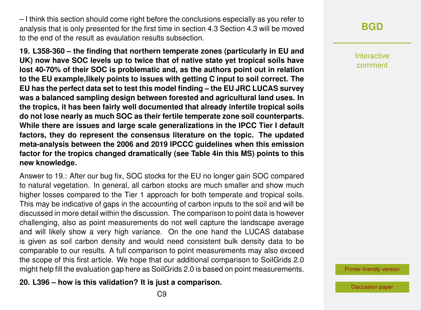– I think this section should come right before the conclusions especially as you refer to analysis that is only presented for the first time in section 4.3 Section 4.3 will be moved to the end of the result as evaulation results subsection.

**19. L358-360 – the finding that northern temperate zones (particularly in EU and UK) now have SOC levels up to twice that of native state yet tropical soils have lost 40-70% of their SOC is problematic and, as the authors point out in relation to the EU example,likely points to issues with getting C input to soil correct. The EU has the perfect data set to test this model finding – the EU JRC LUCAS survey was a balanced sampling design between forested and agricultural land uses. In the tropics, it has been fairly well documented that already infertile tropical soils do not lose nearly as much SOC as their fertile temperate zone soil counterparts. While there are issues and large scale generalizations in the IPCC Tier I default factors, they do represent the consensus literature on the topic. The updated meta-analysis between the 2006 and 2019 IPCCC guidelines when this emission factor for the tropics changed dramatically (see Table 4in this MS) points to this new knowledge.**

Answer to 19.: After our bug fix, SOC stocks for the EU no longer gain SOC compared to natural vegetation. In general, all carbon stocks are much smaller and show much higher losses compared to the Tier 1 approach for both temperate and tropical soils. This may be indicative of gaps in the accounting of carbon inputs to the soil and will be discussed in more detail within the discussion. The comparison to point data is however challenging, also as point measurements do not well capture the landscape average and will likely show a very high variance. On the one hand the LUCAS database is given as soil carbon density and would need consistent bulk density data to be comparable to our results. A full comparison to point measurements may also exceed the scope of this first article. We hope that our additional comparison to SoilGrids 2.0 might help fill the evaluation gap here as SoilGrids 2.0 is based on point measurements.

**20. L396 – how is this validation? It is just a comparison.**

Interactive comment

[Printer-friendly version](https://bg.copernicus.org/preprints/bg-2020-468/bg-2020-468-AC3-print.pdf)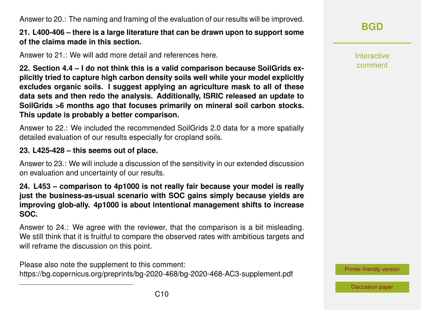Answer to 20.: The naming and framing of the evaluation of our results will be improved.

# **21. L400-406 – there is a large literature that can be drawn upon to support some of the claims made in this section.**

Answer to 21.: We will add more detail and references here.

**22. Section 4.4 – I do not think this is a valid comparison because SoilGrids explicitly tried to capture high carbon density soils well while your model explicitly excludes organic soils. I suggest applying an agriculture mask to all of these data sets and then redo the analysis. Additionally, ISRIC released an update to SoilGrids >6 months ago that focuses primarily on mineral soil carbon stocks. This update is probably a better comparison.**

Answer to 22.: We included the recommended SoilGrids 2.0 data for a more spatially detailed evaluation of our results especially for cropland soils.

# **23. L425-428 – this seems out of place.**

Answer to 23.: We will include a discussion of the sensitivity in our extended discussion on evaluation and uncertainty of our results.

**24. L453 – comparison to 4p1000 is not really fair because your model is really just the business-as-usual scenario with SOC gains simply because yields are improving glob-ally. 4p1000 is about intentional management shifts to increase SOC.**

Answer to 24.: We agree with the reviewer, that the comparison is a bit misleading. We still think that it is fruitful to compare the observed rates with ambitious targets and will reframe the discussion on this point.

Please also note the supplement to this comment: <https://bg.copernicus.org/preprints/bg-2020-468/bg-2020-468-AC3-supplement.pdf> **[BGD](https://bg.copernicus.org/preprints/)**

Interactive comment

[Printer-friendly version](https://bg.copernicus.org/preprints/bg-2020-468/bg-2020-468-AC3-print.pdf)